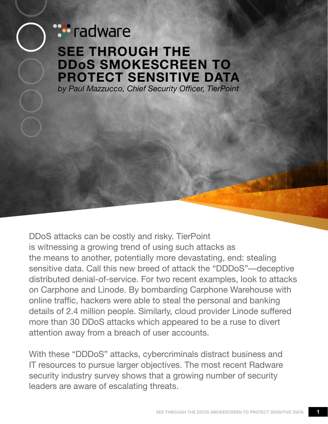## **Ware** radware **SEE THROUGH THE DDoS SMOKESCREEN TO PROTECT SENSITIVE DATA** *by Paul Mazzucco, Chief Security Officer, TierPoint*

DDoS attacks can be costly and risky. TierPoint is witnessing a growing trend of using such attacks as the means to another, potentially more devastating, end: stealing sensitive data. Call this new breed of attack the "DDDoS"—deceptive distributed denial-of-service. For two recent examples, look to attacks on Carphone and Linode. By bombarding Carphone Warehouse with online traffic, hackers were able to steal the personal and banking details of 2.4 million people. Similarly, cloud provider Linode suffered more than 30 DDoS attacks which appeared to be a ruse to divert attention away from a breach of user accounts.

With these "DDDoS" attacks, cybercriminals distract business and IT resources to pursue larger objectives. The most recent Radware security industry survey shows that a growing number of security leaders are aware of escalating threats.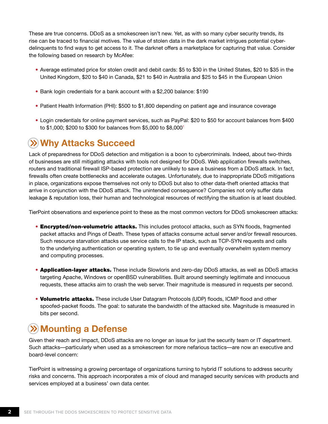These are true concerns. DDoS as a smokescreen isn't new. Yet, as with so many cyber security trends, its rise can be traced to financial motives. The value of stolen data in the dark market intrigues potential cyberdelinquents to find ways to get access to it. The darknet offers a marketplace for capturing that value. Consider the following based on research by McAfee:

- Average estimated price for stolen credit and debit cards: \$5 to \$30 in the United States, \$20 to \$35 in the United Kingdom, \$20 to \$40 in Canada, \$21 to \$40 in Australia and \$25 to \$45 in the European Union
- Bank login credentials for a bank account with a \$2,200 balance: \$190
- Patient Health Information (PHI): \$500 to \$1,800 depending on patient age and insurance coverage
- Login credentials for online payment services, such as PayPal: \$20 to \$50 for account balances from \$400 to \$1,000; \$200 to \$300 for balances from \$5,000 to \$8,0001

## **Why Attacks Succeed**

Lack of preparedness for DDoS detection and mitigation is a boon to cybercriminals. Indeed, about two-thirds of businesses are still mitigating attacks with tools not designed for DDoS. Web application firewalls switches, routers and traditional firewall ISP-based protection are unlikely to save a business from a DDoS attack. In fact, firewalls often create bottlenecks and accelerate outages. Unfortunately, due to inappropriate DDoS mitigations in place, organizations expose themselves not only to DDoS but also to other data-theft oriented attacks that arrive in conjunction with the DDoS attack. The unintended consequence? Companies not only suffer data leakage & reputation loss, their human and technological resources of rectifying the situation is at least doubled.

TierPoint observations and experience point to these as the most common vectors for DDoS smokescreen attacks:

- **Encrypted/non-volumetric attacks.** This includes protocol attacks, such as SYN floods, fragmented packet attacks and Pings of Death. These types of attacks consume actual server and/or firewall resources. Such resource starvation attacks use service calls to the IP stack, such as TCP-SYN requests and calls to the underlying authentication or operating system, to tie up and eventually overwhelm system memory and computing processes.
- Application-layer attacks. These include Slowloris and zero-day DDoS attacks, as well as DDoS attacks targeting Apache, Windows or openBSD vulnerabilities. Built around seemingly legitimate and innocuous requests, these attacks aim to crash the web server. Their magnitude is measured in requests per second.
- Volumetric attacks. These include User Datagram Protocols (UDP) floods, ICMP flood and other spoofed-packet floods. The goal: to saturate the bandwidth of the attacked site. Magnitude is measured in bits per second.

## **Mounting a Defense**

Given their reach and impact, DDoS attacks are no longer an issue for just the security team or IT department. Such attacks—particularly when used as a smokescreen for more nefarious tactics—are now an executive and board-level concern:

TierPoint is witnessing a growing percentage of organizations turning to hybrid IT solutions to address security risks and concerns. This approach incorporates a mix of cloud and managed security services with products and services employed at a business' own data center.